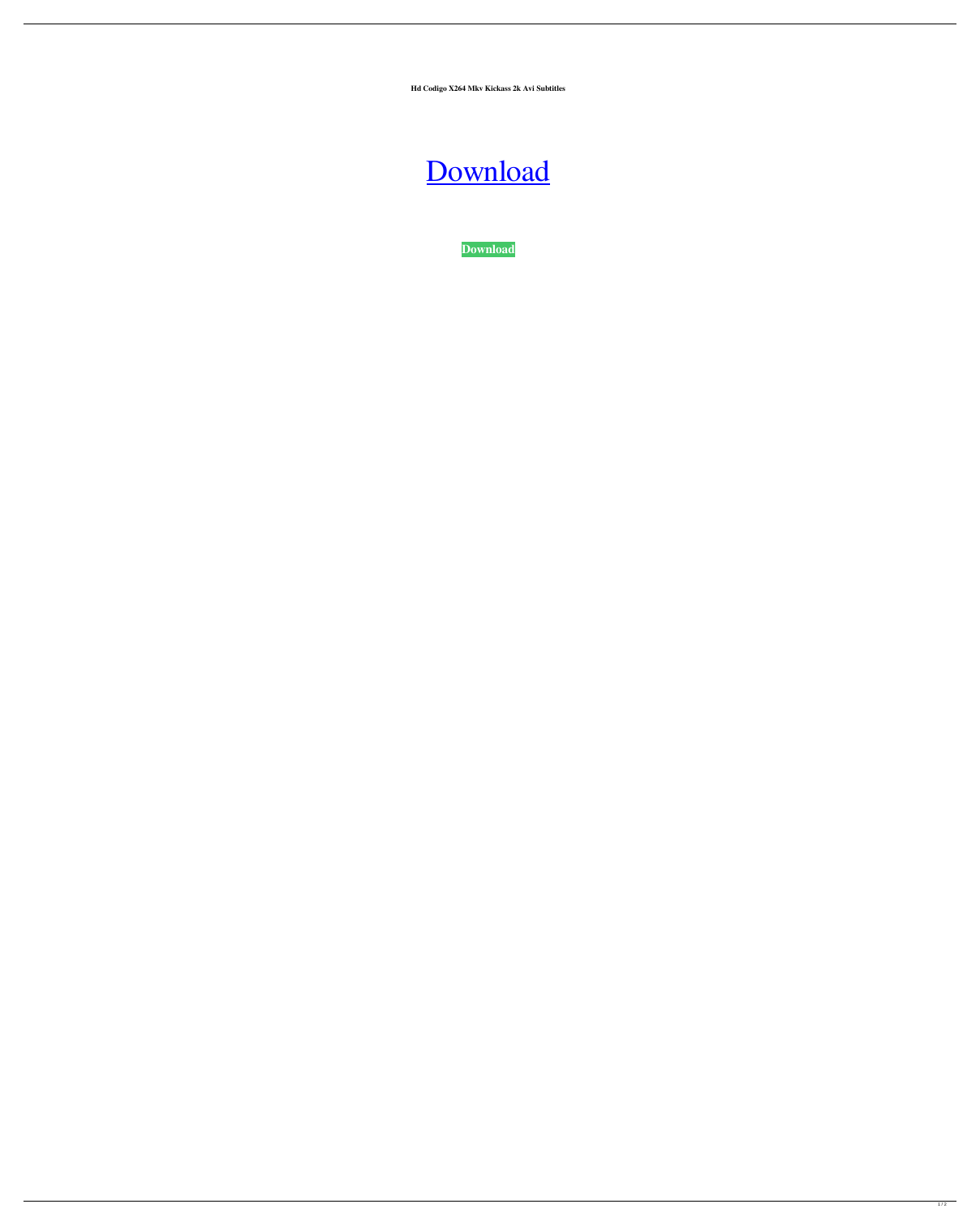**Hd Codigo X264 Mkv Kickass 2k Avi Subtitles**



**[Download](http://evacdir.com/ZG93bmxvYWR8SDhmTW5KdWFueDhNVFkxTWpjME1EZzJObng4TWpVM05IeDhLRTBwSUhKbFlXUXRZbXh2WnlCYlJtRnpkQ0JIUlU1ZA/pruned/colourless?cutup=fitnesspost/formality/seminoma/Y29kaWdvIGRlIGFjdGl2YWNpb24gcGFyYSBkZWxldGVmaXggcGhvdG8gZ3JhdGlzY29)**